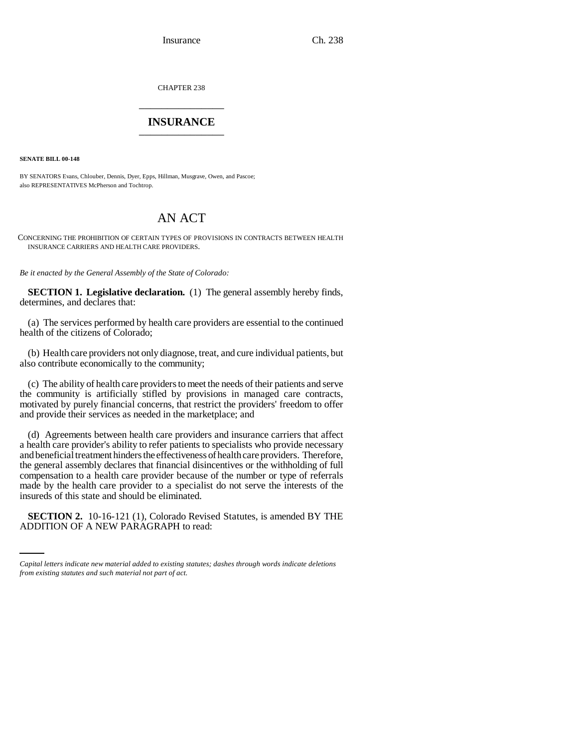Insurance Ch. 238

CHAPTER 238 \_\_\_\_\_\_\_\_\_\_\_\_\_\_\_

## **INSURANCE** \_\_\_\_\_\_\_\_\_\_\_\_\_\_\_

**SENATE BILL 00-148** 

BY SENATORS Evans, Chlouber, Dennis, Dyer, Epps, Hillman, Musgrave, Owen, and Pascoe; also REPRESENTATIVES McPherson and Tochtrop.

## AN ACT

CONCERNING THE PROHIBITION OF CERTAIN TYPES OF PROVISIONS IN CONTRACTS BETWEEN HEALTH INSURANCE CARRIERS AND HEALTH CARE PROVIDERS.

*Be it enacted by the General Assembly of the State of Colorado:*

**SECTION 1. Legislative declaration.** (1) The general assembly hereby finds, determines, and declares that:

(a) The services performed by health care providers are essential to the continued health of the citizens of Colorado;

(b) Health care providers not only diagnose, treat, and cure individual patients, but also contribute economically to the community;

(c) The ability of health care providers to meet the needs of their patients and serve the community is artificially stifled by provisions in managed care contracts, motivated by purely financial concerns, that restrict the providers' freedom to offer and provide their services as needed in the marketplace; and

(d) Agreements between health care providers and insurance carriers that affect a health care provider's ability to refer patients to specialists who provide necessary and beneficial treatment hinders the effectiveness of health care providers. Therefore, the general assembly declares that financial disincentives or the withholding of full compensation to a health care provider because of the number or type of referrals made by the health care provider to a specialist do not serve the interests of the insureds of this state and should be eliminated.

**SECTION 2.** 10-16-121 (1), Colorado Revised Statutes, is amended BY THE ADDITION OF A NEW PARAGRAPH to read:

*Capital letters indicate new material added to existing statutes; dashes through words indicate deletions from existing statutes and such material not part of act.*